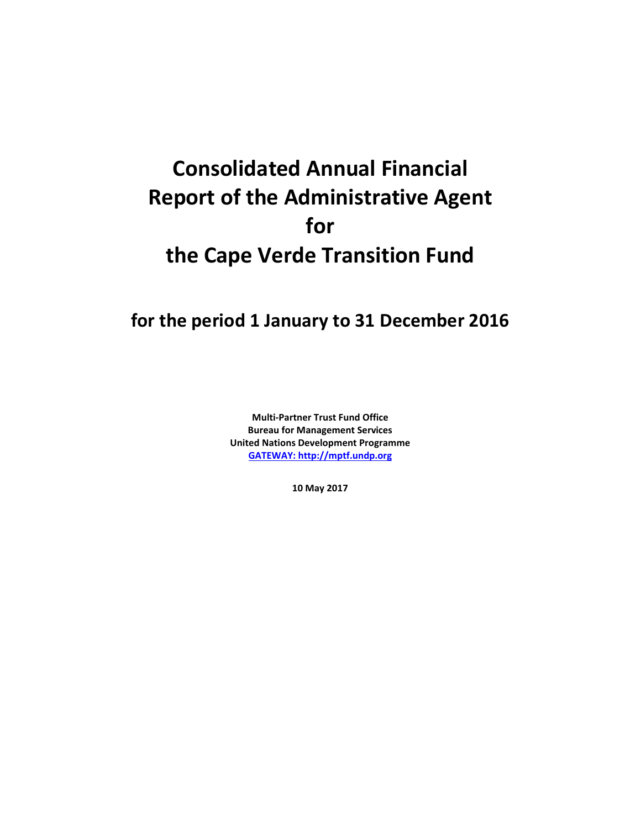# **Consolidated Annual Financial Report of the Administrative Agent for the Cape Verde Transition Fund**

# **for the period 1 January to 31 December 2016**

**Multi-Partner Trust Fund Office Bureau for Management Services United Nations Development Programme [GATEWAY: http://mptf.undp.org](http://mptf.undp.org/)**

**10 May 2017**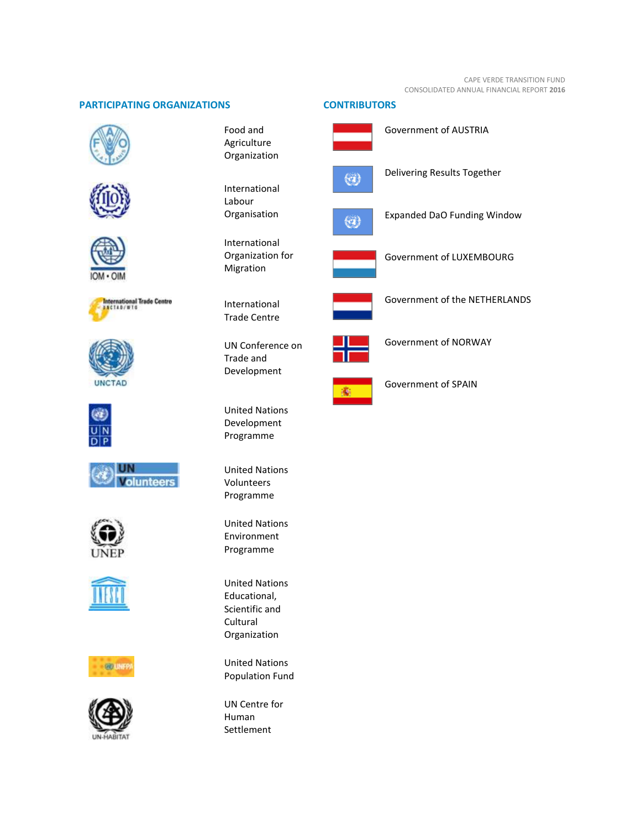# **PARTICIPATING ORGANIZATIONS CONTRIBUTORS**







International Trade Centre<br>ANCIAD/WIG















Food and Agriculture Organization

International Labour Organisation

International Organization for Migration

International Trade Centre

UN Conference on Trade and Development

United Nations Development Programme

United Nations Volunteers Programme

United Nations Environment Programme

United Nations Educational, Scientific and **Cultural** Organization

United Nations Population Fund

UN Centre for Human Settlement



Expanded DaO Funding Window

Government of AUSTRIA

Delivering Results Together



Government of LUXEMBOURG



Government of the NETHERLANDS



Government of NORWAY



Government of SPAIN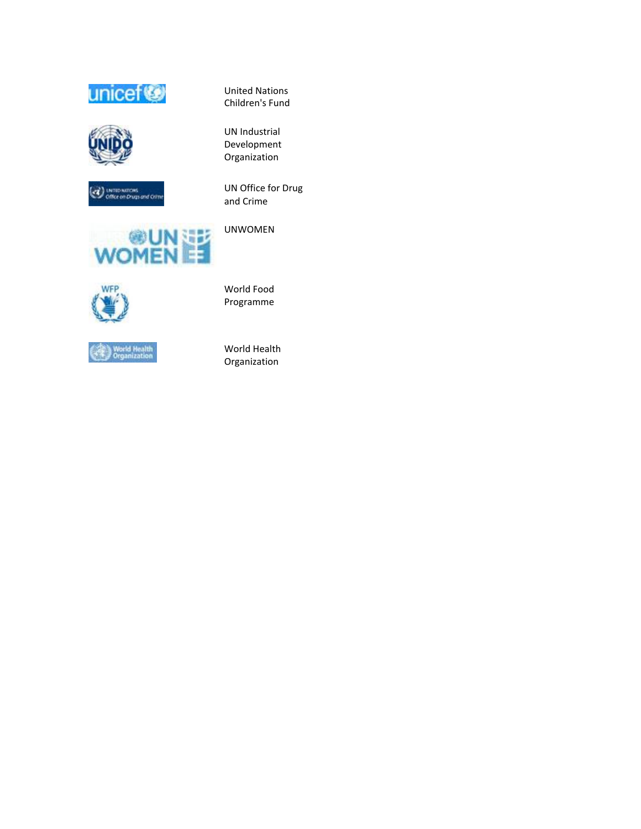





UN Office for Drug and Crime

United Nations Children's Fund

UN Industrial Development Organization







UNWOMEN

World Food Programme

World Health Organization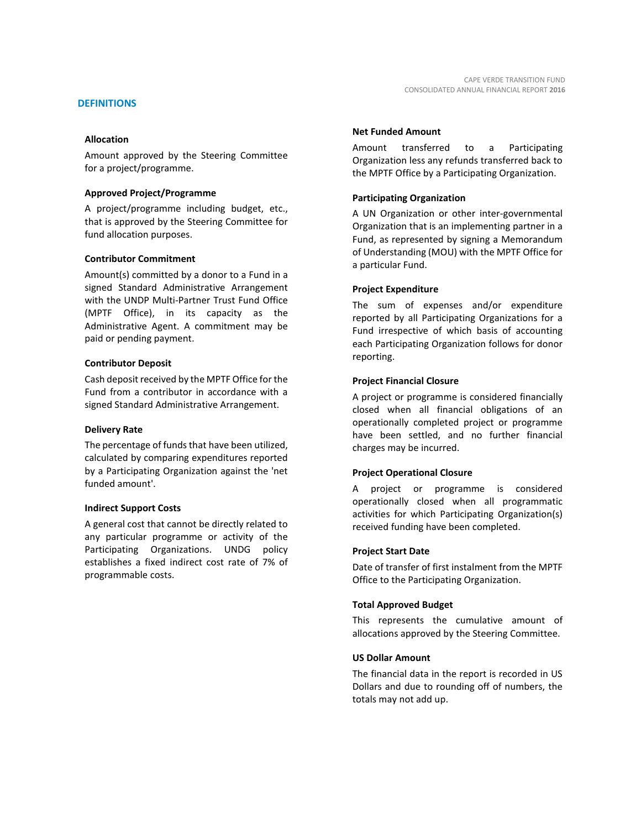#### **Allocation**

Amount approved by the Steering Committee for a project/programme.

#### **Approved Project/Programme**

A project/programme including budget, etc., that is approved by the Steering Committee for fund allocation purposes.

#### **Contributor Commitment**

Amount(s) committed by a donor to a Fund in a signed Standard Administrative Arrangement with the UNDP Multi-Partner Trust Fund Office (MPTF Office), in its capacity as the Administrative Agent. A commitment may be paid or pending payment.

#### **Contributor Deposit**

Cash deposit received by the MPTF Office for the Fund from a contributor in accordance with a signed Standard Administrative Arrangement.

#### **Delivery Rate**

The percentage of funds that have been utilized, calculated by comparing expenditures reported by a Participating Organization against the 'net funded amount'.

#### **Indirect Support Costs**

A general cost that cannot be directly related to any particular programme or activity of the Participating Organizations. UNDG policy establishes a fixed indirect cost rate of 7% of programmable costs.

#### **Net Funded Amount**

Amount transferred to a Participating Organization less any refunds transferred back to the MPTF Office by a Participating Organization.

#### **Participating Organization**

A UN Organization or other inter-governmental Organization that is an implementing partner in a Fund, as represented by signing a Memorandum of Understanding (MOU) with the MPTF Office for a particular Fund.

#### **Project Expenditure**

The sum of expenses and/or expenditure reported by all Participating Organizations for a Fund irrespective of which basis of accounting each Participating Organization follows for donor reporting.

#### **Project Financial Closure**

A project or programme is considered financially closed when all financial obligations of an operationally completed project or programme have been settled, and no further financial charges may be incurred.

#### **Project Operational Closure**

A project or programme is considered operationally closed when all programmatic activities for which Participating Organization(s) received funding have been completed.

#### **Project Start Date**

Date of transfer of first instalment from the MPTF Office to the Participating Organization.

#### **Total Approved Budget**

This represents the cumulative amount of allocations approved by the Steering Committee.

#### **US Dollar Amount**

The financial data in the report is recorded in US Dollars and due to rounding off of numbers, the totals may not add up.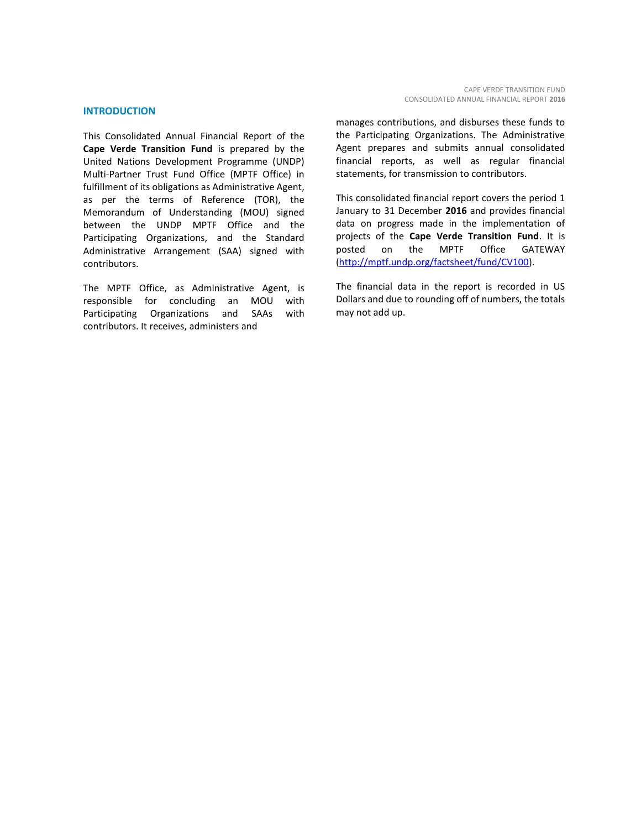#### **INTRODUCTION**

This Consolidated Annual Financial Report of the **Cape Verde Transition Fund** is prepared by the United Nations Development Programme (UNDP) Multi-Partner Trust Fund Office (MPTF Office) in fulfillment of its obligations as Administrative Agent, as per the terms of Reference (TOR), the Memorandum of Understanding (MOU) signed between the UNDP MPTF Office and the Participating Organizations, and the Standard Administrative Arrangement (SAA) signed with contributors.

The MPTF Office, as Administrative Agent, is responsible for concluding an MOU with Participating Organizations and SAAs with contributors. It receives, administers and

manages contributions, and disburses these funds to the Participating Organizations. The Administrative Agent prepares and submits annual consolidated financial reports, as well as regular financial statements, for transmission to contributors.

This consolidated financial report covers the period 1 January to 31 December **2016** and provides financial data on progress made in the implementation of projects of the **Cape Verde Transition Fund**. It is posted on the MPTF Office GATEWAY [\(http://mptf.undp.org/factsheet/fund/CV100\)](http://mptf.undp.org/factsheet/fund/CV100).

The financial data in the report is recorded in US Dollars and due to rounding off of numbers, the totals may not add up.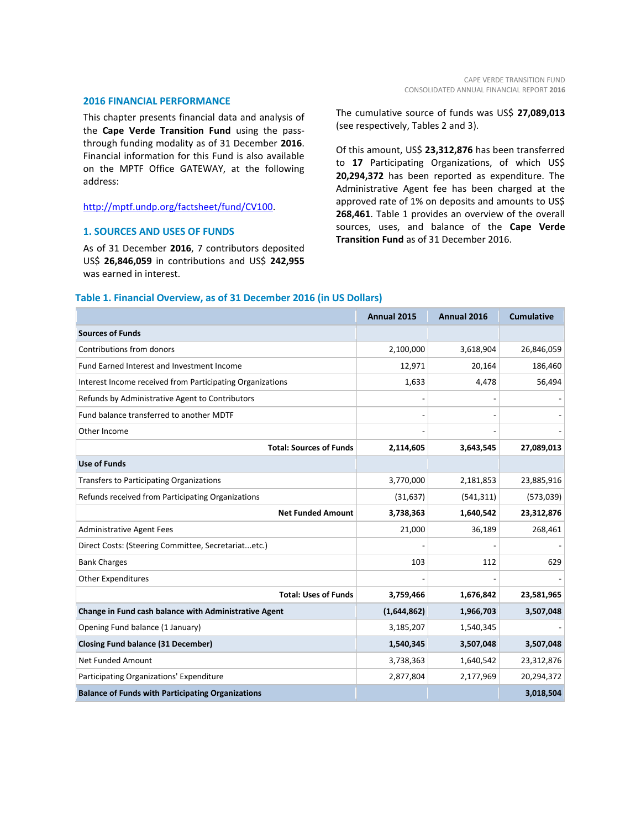#### **2016 FINANCIAL PERFORMANCE**

This chapter presents financial data and analysis of the **Cape Verde Transition Fund** using the passthrough funding modality as of 31 December **2016**. Financial information for this Fund is also available on the MPTF Office GATEWAY, at the following address:

#### [http://mptf.undp.org/factsheet/fund/CV100.](http://mptf.undp.org/factsheet/fund/CV100)

#### **1. SOURCES AND USES OF FUNDS**

As of 31 December **2016**, 7 contributors deposited US\$ **26,846,059** in contributions and US\$ **242,955** was earned in interest.

The cumulative source of funds was US\$ **27,089,013** (see respectively, Tables 2 and 3).

Of this amount, US\$ **23,312,876** has been transferred to **17** Participating Organizations, of which US\$ **20,294,372** has been reported as expenditure. The Administrative Agent fee has been charged at the approved rate of 1% on deposits and amounts to US\$ **268,461**. Table 1 provides an overview of the overall sources, uses, and balance of the **Cape Verde Transition Fund** as of 31 December 2016.

#### **Table 1. Financial Overview, as of 31 December 2016 (in US Dollars)**

|                                                           | Annual 2015 | Annual 2016 | <b>Cumulative</b> |
|-----------------------------------------------------------|-------------|-------------|-------------------|
| <b>Sources of Funds</b>                                   |             |             |                   |
| Contributions from donors                                 | 2,100,000   | 3,618,904   | 26,846,059        |
| <b>Fund Earned Interest and Investment Income</b>         | 12,971      | 20,164      | 186,460           |
| Interest Income received from Participating Organizations | 1,633       | 4,478       | 56,494            |
| Refunds by Administrative Agent to Contributors           |             |             |                   |
| Fund balance transferred to another MDTF                  |             |             |                   |
| Other Income                                              |             |             |                   |
| <b>Total: Sources of Funds</b>                            | 2,114,605   | 3,643,545   | 27,089,013        |
| <b>Use of Funds</b>                                       |             |             |                   |
| <b>Transfers to Participating Organizations</b>           | 3,770,000   | 2,181,853   | 23,885,916        |
| Refunds received from Participating Organizations         | (31, 637)   | (541, 311)  | (573,039)         |
| <b>Net Funded Amount</b>                                  | 3,738,363   | 1,640,542   | 23,312,876        |
| <b>Administrative Agent Fees</b>                          | 21,000      | 36,189      | 268,461           |
| Direct Costs: (Steering Committee, Secretariatetc.)       |             |             |                   |
| <b>Bank Charges</b>                                       | 103         | 112         | 629               |
| <b>Other Expenditures</b>                                 |             |             |                   |
| <b>Total: Uses of Funds</b>                               | 3,759,466   | 1,676,842   | 23,581,965        |
| Change in Fund cash balance with Administrative Agent     | (1,644,862) | 1,966,703   | 3,507,048         |
| Opening Fund balance (1 January)                          | 3,185,207   | 1,540,345   |                   |
| <b>Closing Fund balance (31 December)</b>                 | 1,540,345   | 3,507,048   | 3,507,048         |
| <b>Net Funded Amount</b>                                  | 3,738,363   | 1,640,542   | 23,312,876        |
| Participating Organizations' Expenditure                  | 2,877,804   | 2,177,969   | 20,294,372        |
| <b>Balance of Funds with Participating Organizations</b>  |             |             | 3,018,504         |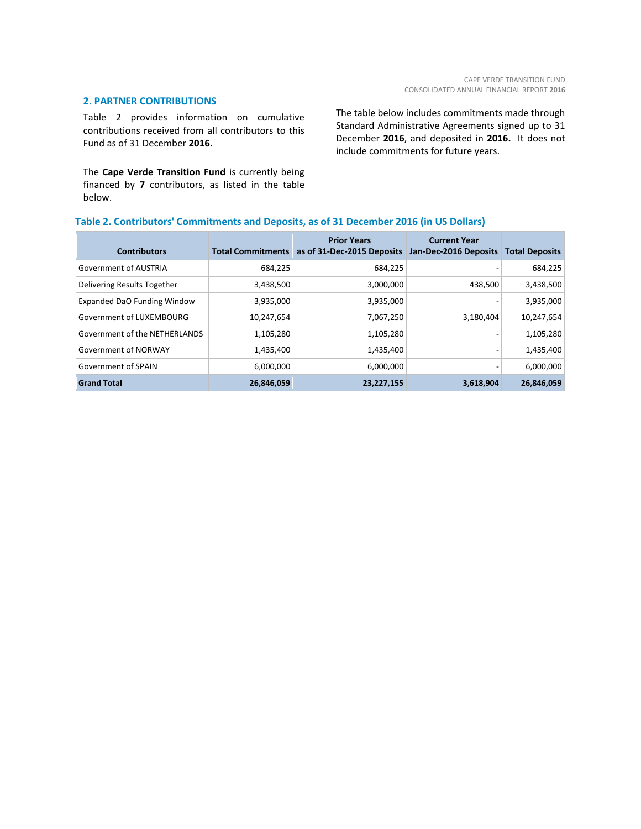#### **2. PARTNER CONTRIBUTIONS**

Table 2 provides information on cumulative contributions received from all contributors to this Fund as of 31 December **2016**.

The **Cape Verde Transition Fund** is currently being financed by **7** contributors, as listed in the table below.

The table below includes commitments made through Standard Administrative Agreements signed up to 31 December **2016**, and deposited in **2016.** It does not include commitments for future years.

# **Table 2. Contributors' Commitments and Deposits, as of 31 December 2016 (in US Dollars)**

| <b>Contributors</b>           | <b>Total Commitments</b> | <b>Prior Years</b><br>as of 31-Dec-2015 Deposits | <b>Current Year</b><br>Jan-Dec-2016 Deposits | <b>Total Deposits</b> |
|-------------------------------|--------------------------|--------------------------------------------------|----------------------------------------------|-----------------------|
| <b>Government of AUSTRIA</b>  | 684,225                  | 684,225                                          |                                              | 684,225               |
| Delivering Results Together   | 3,438,500                | 3,000,000                                        | 438,500                                      | 3,438,500             |
| Expanded DaO Funding Window   | 3,935,000                | 3,935,000                                        | ٠                                            | 3,935,000             |
| Government of LUXEMBOURG      | 10,247,654               | 7,067,250                                        | 3,180,404                                    | 10,247,654            |
| Government of the NETHERLANDS | 1,105,280                | 1,105,280                                        |                                              | 1,105,280             |
| Government of NORWAY          | 1,435,400                | 1,435,400                                        | ٠                                            | 1,435,400             |
| Government of SPAIN           | 6,000,000                | 6,000,000                                        | ۰.                                           | 6,000,000             |
| <b>Grand Total</b>            | 26,846,059               | 23,227,155                                       | 3,618,904                                    | 26,846,059            |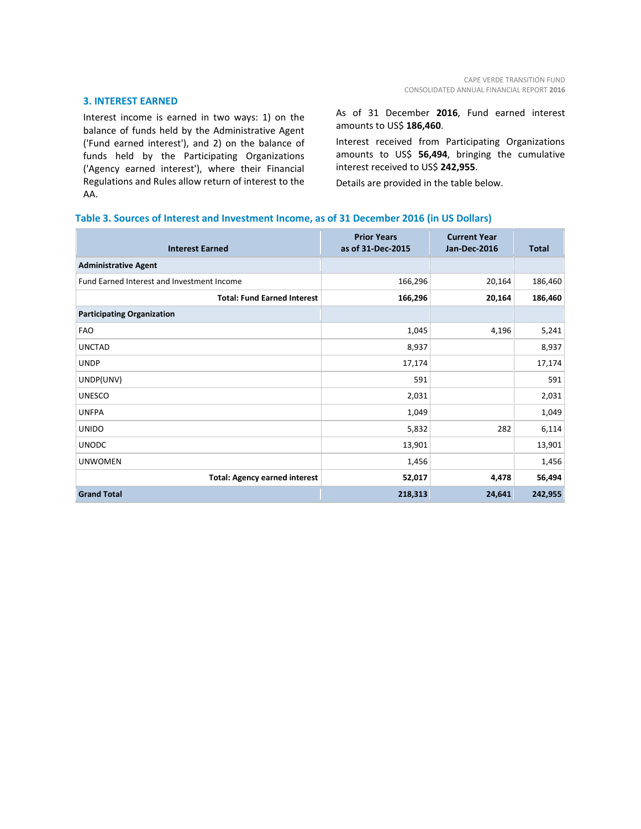#### **3. INTEREST EARNED**

Interest income is earned in two ways: 1) on the balance of funds held by the Administrative Agent ('Fund earned interest'), and 2) on the balance of funds held by the Participating Organizations ('Agency earned interest'), where their Financial Regulations and Rules allow return of interest to the AA.

As of 31 December **2016**, Fund earned interest amounts to US\$ **186,460**.

Interest received from Participating Organizations amounts to US\$ **56,494**, bringing the cumulative interest received to US\$ **242,955**.

Details are provided in the table below.

# **Table 3. Sources of Interest and Investment Income, as of 31 December 2016 (in US Dollars)**

| <b>Interest Earned</b>                     | <b>Prior Years</b><br>as of 31-Dec-2015 | <b>Current Year</b><br><b>Jan-Dec-2016</b> | <b>Total</b> |
|--------------------------------------------|-----------------------------------------|--------------------------------------------|--------------|
| <b>Administrative Agent</b>                |                                         |                                            |              |
| Fund Earned Interest and Investment Income | 166,296                                 | 20,164                                     | 186,460      |
| <b>Total: Fund Earned Interest</b>         | 166,296                                 | 20,164                                     | 186,460      |
| <b>Participating Organization</b>          |                                         |                                            |              |
| <b>FAO</b>                                 | 1,045                                   | 4,196                                      | 5,241        |
| <b>UNCTAD</b>                              | 8,937                                   |                                            | 8,937        |
| <b>UNDP</b>                                | 17,174                                  |                                            | 17,174       |
| UNDP(UNV)                                  | 591                                     |                                            | 591          |
| <b>UNESCO</b>                              | 2,031                                   |                                            | 2,031        |
| <b>UNFPA</b>                               | 1,049                                   |                                            | 1,049        |
| <b>UNIDO</b>                               | 5,832                                   | 282                                        | 6,114        |
| <b>UNODC</b>                               | 13,901                                  |                                            | 13,901       |
| <b>UNWOMEN</b>                             | 1,456                                   |                                            | 1,456        |
| <b>Total: Agency earned interest</b>       | 52,017                                  | 4,478                                      | 56,494       |
| <b>Grand Total</b>                         | 218,313                                 | 24,641                                     | 242,955      |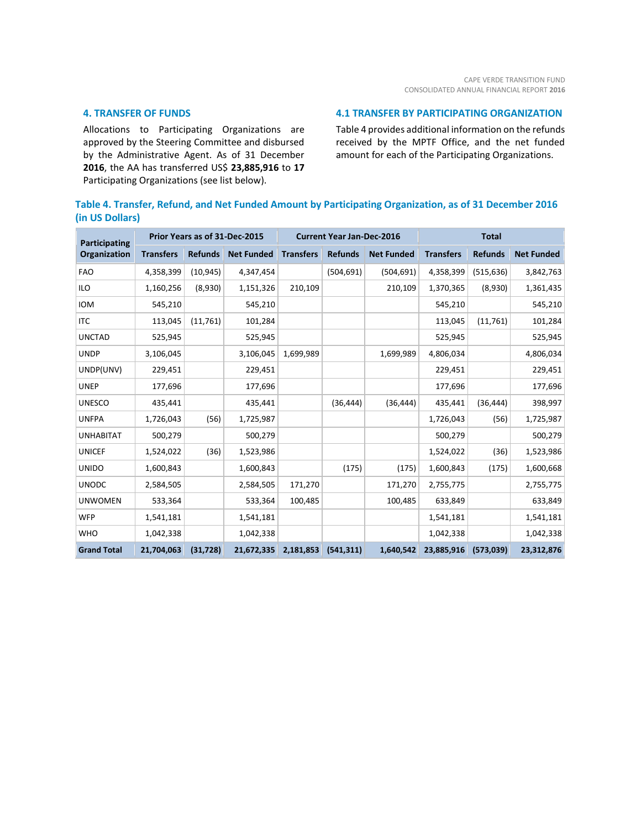#### **4. TRANSFER OF FUNDS**

Allocations to Participating Organizations are approved by the Steering Committee and disbursed by the Administrative Agent. As of 31 December **2016**, the AA has transferred US\$ **23,885,916** to **17** Participating Organizations (see list below).

#### **4.1 TRANSFER BY PARTICIPATING ORGANIZATION**

Table 4 provides additional information on the refunds received by the MPTF Office, and the net funded amount for each of the Participating Organizations.

# **Table 4. Transfer, Refund, and Net Funded Amount by Participating Organization, as of 31 December 2016 (in US Dollars)**

| <b>Participating</b> |                  |                | Prior Years as of 31-Dec-2015 | <b>Current Year Jan-Dec-2016</b> |                |                   | <b>Total</b>     |                |                   |
|----------------------|------------------|----------------|-------------------------------|----------------------------------|----------------|-------------------|------------------|----------------|-------------------|
| <b>Organization</b>  | <b>Transfers</b> | <b>Refunds</b> | <b>Net Funded</b>             | <b>Transfers</b>                 | <b>Refunds</b> | <b>Net Funded</b> | <b>Transfers</b> | <b>Refunds</b> | <b>Net Funded</b> |
| <b>FAO</b>           | 4,358,399        | (10, 945)      | 4,347,454                     |                                  | (504, 691)     | (504, 691)        | 4,358,399        | (515, 636)     | 3,842,763         |
| <b>ILO</b>           | 1,160,256        | (8,930)        | 1,151,326                     | 210,109                          |                | 210,109           | 1,370,365        | (8,930)        | 1,361,435         |
| <b>IOM</b>           | 545,210          |                | 545,210                       |                                  |                |                   | 545,210          |                | 545,210           |
| <b>ITC</b>           | 113,045          | (11,761)       | 101,284                       |                                  |                |                   | 113,045          | (11,761)       | 101,284           |
| <b>UNCTAD</b>        | 525,945          |                | 525,945                       |                                  |                |                   | 525,945          |                | 525,945           |
| <b>UNDP</b>          | 3,106,045        |                | 3,106,045                     | 1,699,989                        |                | 1,699,989         | 4,806,034        |                | 4,806,034         |
| UNDP(UNV)            | 229,451          |                | 229,451                       |                                  |                |                   | 229,451          |                | 229,451           |
| <b>UNEP</b>          | 177,696          |                | 177,696                       |                                  |                |                   | 177,696          |                | 177,696           |
| <b>UNESCO</b>        | 435,441          |                | 435,441                       |                                  | (36, 444)      | (36, 444)         | 435,441          | (36, 444)      | 398,997           |
| <b>UNFPA</b>         | 1,726,043        | (56)           | 1,725,987                     |                                  |                |                   | 1,726,043        | (56)           | 1,725,987         |
| <b>UNHABITAT</b>     | 500,279          |                | 500,279                       |                                  |                |                   | 500,279          |                | 500,279           |
| <b>UNICEF</b>        | 1,524,022        | (36)           | 1,523,986                     |                                  |                |                   | 1,524,022        | (36)           | 1,523,986         |
| <b>UNIDO</b>         | 1,600,843        |                | 1,600,843                     |                                  | (175)          | (175)             | 1,600,843        | (175)          | 1,600,668         |
| <b>UNODC</b>         | 2,584,505        |                | 2,584,505                     | 171,270                          |                | 171,270           | 2,755,775        |                | 2,755,775         |
| <b>UNWOMEN</b>       | 533,364          |                | 533,364                       | 100,485                          |                | 100,485           | 633,849          |                | 633,849           |
| <b>WFP</b>           | 1,541,181        |                | 1,541,181                     |                                  |                |                   | 1,541,181        |                | 1,541,181         |
| <b>WHO</b>           | 1,042,338        |                | 1,042,338                     |                                  |                |                   | 1,042,338        |                | 1,042,338         |
| <b>Grand Total</b>   | 21,704,063       | (31, 728)      | 21,672,335                    | 2,181,853                        | (541, 311)     | 1,640,542         | 23,885,916       | (573,039)      | 23,312,876        |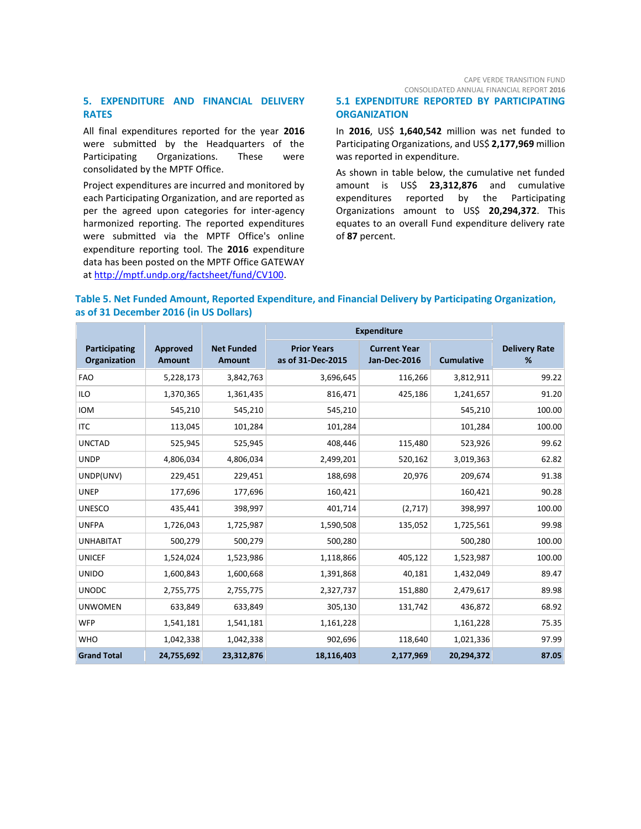CAPE VERDE TRANSITION FUND CONSOLIDATED ANNUAL FINANCIAL REPORT **2016**

### **5. EXPENDITURE AND FINANCIAL DELIVERY RATES**

All final expenditures reported for the year **2016** were submitted by the Headquarters of the Participating Organizations. These were consolidated by the MPTF Office.

Project expenditures are incurred and monitored by each Participating Organization, and are reported as per the agreed upon categories for inter-agency harmonized reporting. The reported expenditures were submitted via the MPTF Office's online expenditure reporting tool. The **2016** expenditure data has been posted on the MPTF Office GATEWAY at [http://mptf.undp.org/factsheet/fund/CV100.](http://mptf.undp.org/factsheet/fund/CV100)

# **5.1 EXPENDITURE REPORTED BY PARTICIPATING ORGANIZATION**

In **2016**, US\$ **1,640,542** million was net funded to Participating Organizations, and US\$ **2,177,969** million was reported in expenditure.

As shown in table below, the cumulative net funded amount is US\$ **23,312,876** and cumulative expenditures reported by the Participating Organizations amount to US\$ **20,294,372**. This equates to an overall Fund expenditure delivery rate of **87** percent.

# **Table 5. Net Funded Amount, Reported Expenditure, and Financial Delivery by Participating Organization, as of 31 December 2016 (in US Dollars)**

|                                      |                           |                                    | <b>Expenditure</b>                      |                                     |                   |                           |
|--------------------------------------|---------------------------|------------------------------------|-----------------------------------------|-------------------------------------|-------------------|---------------------------|
| Participating<br><b>Organization</b> | Approved<br><b>Amount</b> | <b>Net Funded</b><br><b>Amount</b> | <b>Prior Years</b><br>as of 31-Dec-2015 | <b>Current Year</b><br>Jan-Dec-2016 | <b>Cumulative</b> | <b>Delivery Rate</b><br>% |
| <b>FAO</b>                           | 5,228,173                 | 3,842,763                          | 3,696,645                               | 116,266                             | 3,812,911         | 99.22                     |
| <b>ILO</b>                           | 1,370,365                 | 1,361,435                          | 816,471                                 | 425,186                             | 1,241,657         | 91.20                     |
| <b>IOM</b>                           | 545,210                   | 545,210                            | 545,210                                 |                                     | 545,210           | 100.00                    |
| <b>ITC</b>                           | 113,045                   | 101,284                            | 101,284                                 |                                     | 101,284           | 100.00                    |
| <b>UNCTAD</b>                        | 525,945                   | 525,945                            | 408,446                                 | 115,480                             | 523,926           | 99.62                     |
| <b>UNDP</b>                          | 4,806,034                 | 4,806,034                          | 2,499,201                               | 520,162                             | 3,019,363         | 62.82                     |
| UNDP(UNV)                            | 229,451                   | 229,451                            | 188,698                                 | 20,976                              | 209,674           | 91.38                     |
| <b>UNEP</b>                          | 177,696                   | 177,696                            | 160,421                                 |                                     | 160,421           | 90.28                     |
| <b>UNESCO</b>                        | 435,441                   | 398,997                            | 401,714                                 | (2,717)                             | 398,997           | 100.00                    |
| <b>UNFPA</b>                         | 1,726,043                 | 1,725,987                          | 1,590,508                               | 135,052                             | 1,725,561         | 99.98                     |
| <b>UNHABITAT</b>                     | 500,279                   | 500,279                            | 500,280                                 |                                     | 500,280           | 100.00                    |
| <b>UNICEF</b>                        | 1,524,024                 | 1,523,986                          | 1,118,866                               | 405,122                             | 1,523,987         | 100.00                    |
| <b>UNIDO</b>                         | 1,600,843                 | 1,600,668                          | 1,391,868                               | 40,181                              | 1,432,049         | 89.47                     |
| <b>UNODC</b>                         | 2,755,775                 | 2,755,775                          | 2,327,737                               | 151,880                             | 2,479,617         | 89.98                     |
| <b>UNWOMEN</b>                       | 633,849                   | 633,849                            | 305,130                                 | 131,742                             | 436,872           | 68.92                     |
| <b>WFP</b>                           | 1,541,181                 | 1,541,181                          | 1,161,228                               |                                     | 1,161,228         | 75.35                     |
| <b>WHO</b>                           | 1,042,338                 | 1,042,338                          | 902,696                                 | 118,640                             | 1,021,336         | 97.99                     |
| <b>Grand Total</b>                   | 24,755,692                | 23,312,876                         | 18,116,403                              | 2,177,969                           | 20,294,372        | 87.05                     |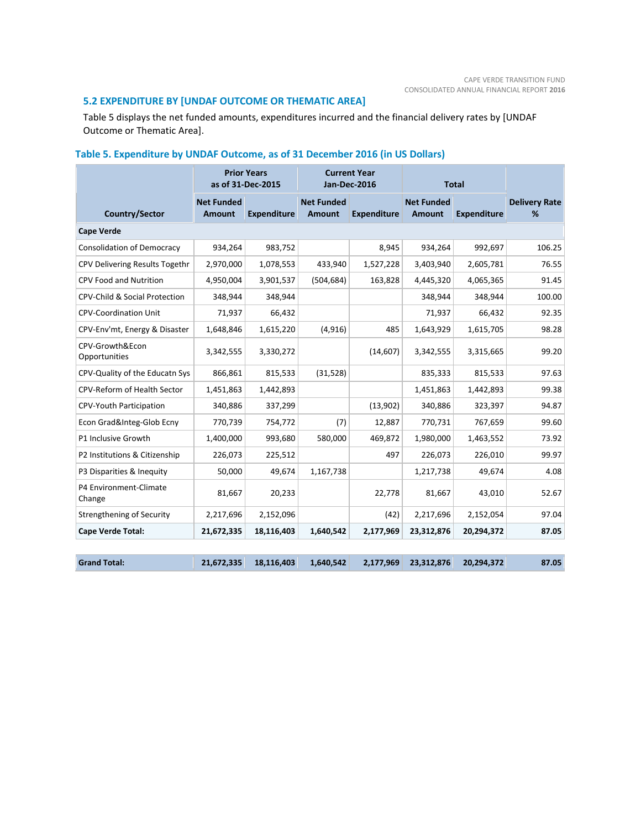# **5.2 EXPENDITURE BY [UNDAF OUTCOME OR THEMATIC AREA]**

Table 5 displays the net funded amounts, expenditures incurred and the financial delivery rates by [UNDAF Outcome or Thematic Area].

|                                          | <b>Prior Years</b><br><b>Current Year</b><br>as of 31-Dec-2015<br>Jan-Dec-2016 |                    |                             |                    | <b>Total</b>                |                    |                           |  |  |  |
|------------------------------------------|--------------------------------------------------------------------------------|--------------------|-----------------------------|--------------------|-----------------------------|--------------------|---------------------------|--|--|--|
| Country/Sector                           | <b>Net Funded</b><br><b>Amount</b>                                             | <b>Expenditure</b> | <b>Net Funded</b><br>Amount | <b>Expenditure</b> | <b>Net Funded</b><br>Amount | <b>Expenditure</b> | <b>Delivery Rate</b><br>℅ |  |  |  |
| <b>Cape Verde</b>                        |                                                                                |                    |                             |                    |                             |                    |                           |  |  |  |
| <b>Consolidation of Democracy</b>        | 934,264                                                                        | 983,752            |                             | 8,945              | 934,264                     | 992,697            | 106.25                    |  |  |  |
| CPV Delivering Results Togethr           | 2,970,000                                                                      | 1,078,553          | 433,940                     | 1,527,228          | 3,403,940                   | 2,605,781          | 76.55                     |  |  |  |
| <b>CPV Food and Nutrition</b>            | 4,950,004                                                                      | 3,901,537          | (504, 684)                  | 163,828            | 4,445,320                   | 4,065,365          | 91.45                     |  |  |  |
| <b>CPV-Child &amp; Social Protection</b> | 348,944                                                                        | 348,944            |                             |                    | 348,944                     | 348,944            | 100.00                    |  |  |  |
| <b>CPV-Coordination Unit</b>             | 71,937                                                                         | 66,432             |                             |                    | 71,937                      | 66,432             | 92.35                     |  |  |  |
| CPV-Env'mt, Energy & Disaster            | 1,648,846                                                                      | 1,615,220          | (4, 916)                    | 485                | 1,643,929                   | 1,615,705          | 98.28                     |  |  |  |
| CPV-Growth&Econ<br>Opportunities         | 3,342,555                                                                      | 3,330,272          |                             | (14, 607)          | 3,342,555                   | 3,315,665          | 99.20                     |  |  |  |
| CPV-Quality of the Educatn Sys           | 866,861                                                                        | 815,533            | (31, 528)                   |                    | 835,333                     | 815,533            | 97.63                     |  |  |  |
| CPV-Reform of Health Sector              | 1,451,863                                                                      | 1,442,893          |                             |                    | 1,451,863                   | 1,442,893          | 99.38                     |  |  |  |
| CPV-Youth Participation                  | 340,886                                                                        | 337,299            |                             | (13,902)           | 340,886                     | 323,397            | 94.87                     |  |  |  |
| Econ Grad&Integ-Glob Ecny                | 770,739                                                                        | 754,772            | (7)                         | 12,887             | 770,731                     | 767,659            | 99.60                     |  |  |  |
| P1 Inclusive Growth                      | 1,400,000                                                                      | 993,680            | 580,000                     | 469,872            | 1,980,000                   | 1,463,552          | 73.92                     |  |  |  |
| P2 Institutions & Citizenship            | 226,073                                                                        | 225,512            |                             | 497                | 226,073                     | 226,010            | 99.97                     |  |  |  |
| P3 Disparities & Inequity                | 50,000                                                                         | 49,674             | 1,167,738                   |                    | 1,217,738                   | 49,674             | 4.08                      |  |  |  |
| P4 Environment-Climate<br>Change         | 81,667                                                                         | 20,233             |                             | 22,778             | 81,667                      | 43,010             | 52.67                     |  |  |  |
| <b>Strengthening of Security</b>         | 2,217,696                                                                      | 2,152,096          |                             | (42)               | 2,217,696                   | 2,152,054          | 97.04                     |  |  |  |
| <b>Cape Verde Total:</b>                 | 21,672,335                                                                     | 18,116,403         | 1,640,542                   | 2,177,969          | 23,312,876                  | 20,294,372         | 87.05                     |  |  |  |
|                                          |                                                                                |                    |                             |                    |                             |                    |                           |  |  |  |
| <b>Grand Total:</b>                      | 21,672,335                                                                     | 18,116,403         | 1,640,542                   | 2,177,969          | 23,312,876                  | 20,294,372         | 87.05                     |  |  |  |

# **Table 5. Expenditure by UNDAF Outcome, as of 31 December 2016 (in US Dollars)**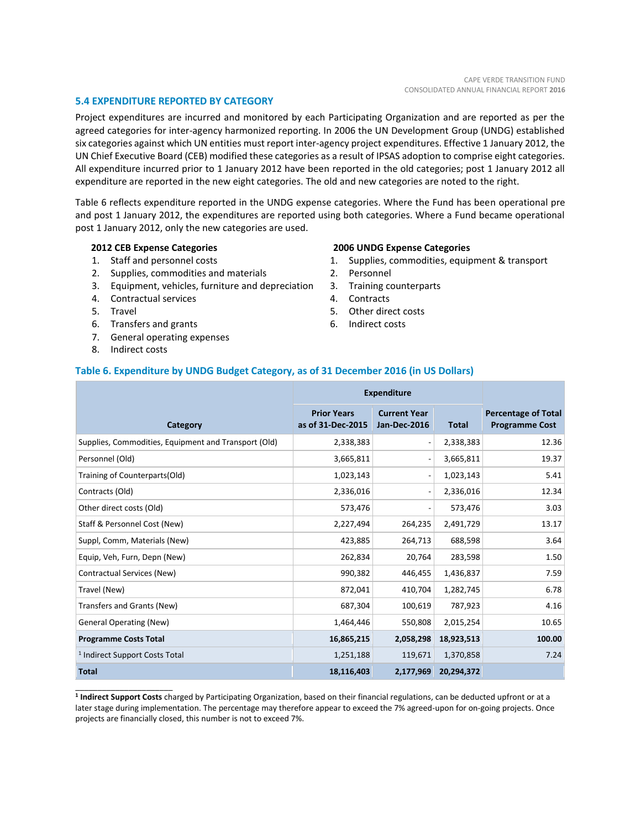#### **5.4 EXPENDITURE REPORTED BY CATEGORY**

Project expenditures are incurred and monitored by each Participating Organization and are reported as per the agreed categories for inter-agency harmonized reporting. In 2006 the UN Development Group (UNDG) established six categories against which UN entities must report inter-agency project expenditures. Effective 1 January 2012, the UN Chief Executive Board (CEB) modified these categories as a result of IPSAS adoption to comprise eight categories. All expenditure incurred prior to 1 January 2012 have been reported in the old categories; post 1 January 2012 all expenditure are reported in the new eight categories. The old and new categories are noted to the right.

Table 6 reflects expenditure reported in the UNDG expense categories. Where the Fund has been operational pre and post 1 January 2012, the expenditures are reported using both categories. Where a Fund became operational post 1 January 2012, only the new categories are used.

#### **2012 CEB Expense Categories**

- 1. Staff and personnel costs
- 2. Supplies, commodities and materials
- 3. Equipment, vehicles, furniture and depreciation
- 4. Contractual services
- 5. Travel
- 6. Transfers and grants
- 7. General operating expenses
- 8. Indirect costs

\_\_\_\_\_\_\_\_\_\_\_\_\_\_\_\_\_\_\_\_\_\_

#### **2006 UNDG Expense Categories**

- 1. Supplies, commodities, equipment & transport
- 2. Personnel
- 3. Training counterparts
- 4. Contracts
- 5. Other direct costs
- 6. Indirect costs

#### **Table 6. Expenditure by UNDG Budget Category, as of 31 December 2016 (in US Dollars)**

|                                                      | <b>Expenditure</b>                      |                                            |              |                                                     |
|------------------------------------------------------|-----------------------------------------|--------------------------------------------|--------------|-----------------------------------------------------|
| Category                                             | <b>Prior Years</b><br>as of 31-Dec-2015 | <b>Current Year</b><br><b>Jan-Dec-2016</b> | <b>Total</b> | <b>Percentage of Total</b><br><b>Programme Cost</b> |
| Supplies, Commodities, Equipment and Transport (Old) | 2,338,383                               |                                            | 2,338,383    | 12.36                                               |
| Personnel (Old)                                      | 3,665,811                               |                                            | 3,665,811    | 19.37                                               |
| Training of Counterparts(Old)                        | 1,023,143                               |                                            | 1,023,143    | 5.41                                                |
| Contracts (Old)                                      | 2,336,016                               |                                            | 2,336,016    | 12.34                                               |
| Other direct costs (Old)                             | 573,476                                 |                                            | 573,476      | 3.03                                                |
| Staff & Personnel Cost (New)                         | 2,227,494                               | 264,235                                    | 2,491,729    | 13.17                                               |
| Suppl, Comm, Materials (New)                         | 423,885                                 | 264,713                                    | 688,598      | 3.64                                                |
| Equip, Veh, Furn, Depn (New)                         | 262,834                                 | 20,764                                     | 283,598      | 1.50                                                |
| Contractual Services (New)                           | 990,382                                 | 446,455                                    | 1,436,837    | 7.59                                                |
| Travel (New)                                         | 872,041                                 | 410,704                                    | 1,282,745    | 6.78                                                |
| Transfers and Grants (New)                           | 687,304                                 | 100,619                                    | 787,923      | 4.16                                                |
| <b>General Operating (New)</b>                       | 1,464,446                               | 550,808                                    | 2,015,254    | 10.65                                               |
| <b>Programme Costs Total</b>                         | 16,865,215                              | 2,058,298                                  | 18,923,513   | 100.00                                              |
| <sup>1</sup> Indirect Support Costs Total            | 1,251,188                               | 119,671                                    | 1,370,858    | 7.24                                                |
| <b>Total</b>                                         | 18,116,403                              | 2,177,969                                  | 20,294,372   |                                                     |

**1 Indirect Support Costs** charged by Participating Organization, based on their financial regulations, can be deducted upfront or at a later stage during implementation. The percentage may therefore appear to exceed the 7% agreed-upon for on-going projects. Once projects are financially closed, this number is not to exceed 7%.